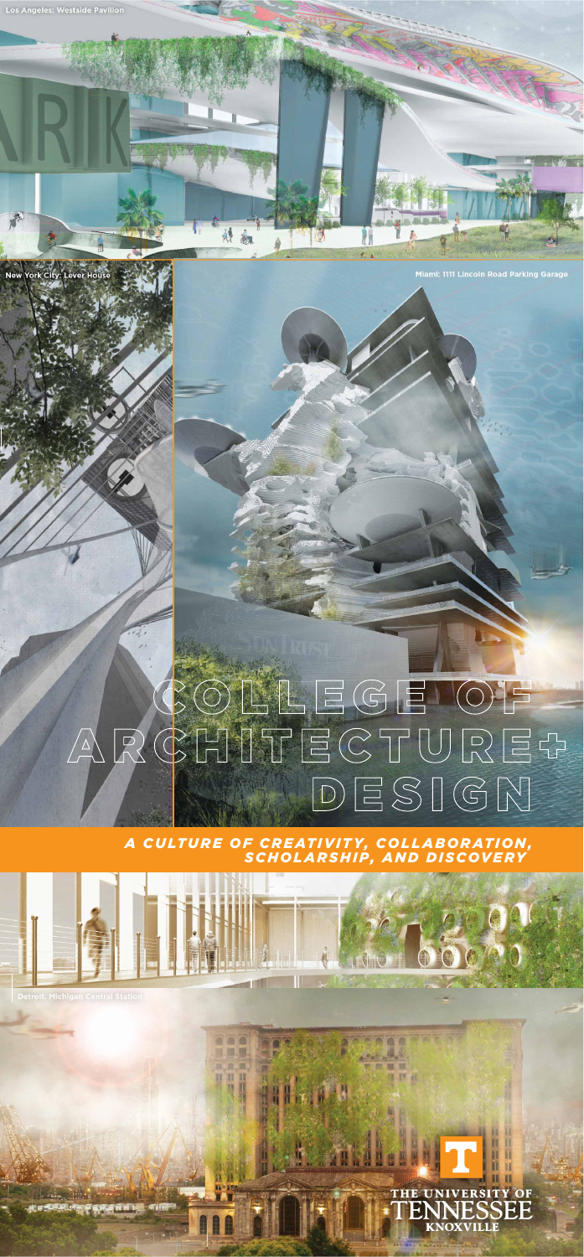

# COLLEGE OF  $\sqrt{\Delta}$  $DESIGM$





00